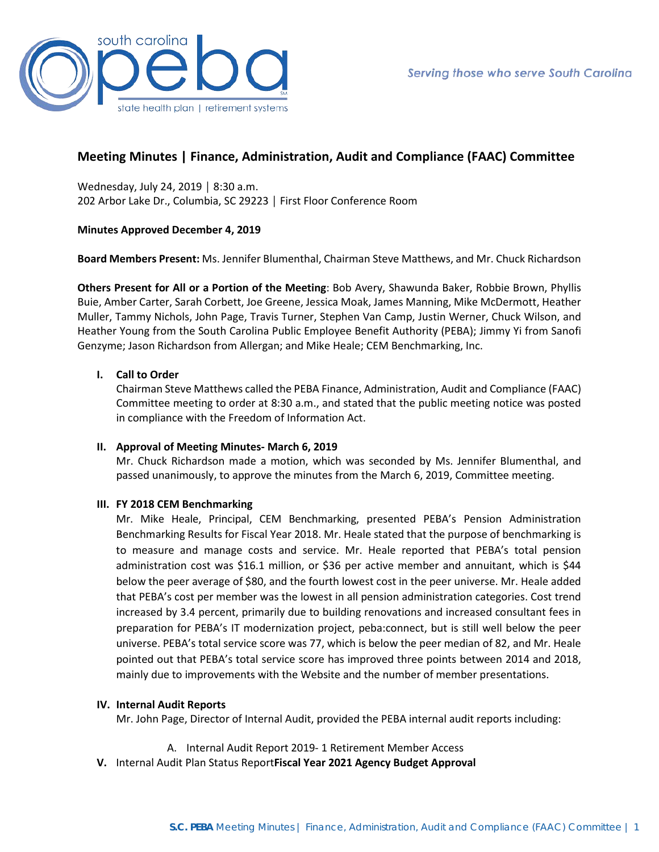

# **Meeting Minutes | Finance, Administration, Audit and Compliance (FAAC) Committee**

Wednesday, July 24, 2019 │ 8:30 a.m. 202 Arbor Lake Dr., Columbia, SC 29223 │ First Floor Conference Room

# **Minutes Approved December 4, 2019**

**Board Members Present:** Ms. Jennifer Blumenthal, Chairman Steve Matthews, and Mr. Chuck Richardson

**Others Present for All or a Portion of the Meeting**: Bob Avery, Shawunda Baker, Robbie Brown, Phyllis Buie, Amber Carter, Sarah Corbett, Joe Greene, Jessica Moak, James Manning, Mike McDermott, Heather Muller, Tammy Nichols, John Page, Travis Turner, Stephen Van Camp, Justin Werner, Chuck Wilson, and Heather Young from the South Carolina Public Employee Benefit Authority (PEBA); Jimmy Yi from Sanofi Genzyme; Jason Richardson from Allergan; and Mike Heale; CEM Benchmarking, Inc.

# **I. Call to Order**

Chairman Steve Matthews called the PEBA Finance, Administration, Audit and Compliance (FAAC) Committee meeting to order at 8:30 a.m., and stated that the public meeting notice was posted in compliance with the Freedom of Information Act.

## **II. Approval of Meeting Minutes- March 6, 2019**

Mr. Chuck Richardson made a motion, which was seconded by Ms. Jennifer Blumenthal, and passed unanimously, to approve the minutes from the March 6, 2019, Committee meeting.

## **III. FY 2018 CEM Benchmarking**

Mr. Mike Heale, Principal, CEM Benchmarking, presented PEBA's Pension Administration Benchmarking Results for Fiscal Year 2018. Mr. Heale stated that the purpose of benchmarking is to measure and manage costs and service. Mr. Heale reported that PEBA's total pension administration cost was \$16.1 million, or \$36 per active member and annuitant, which is \$44 below the peer average of \$80, and the fourth lowest cost in the peer universe. Mr. Heale added that PEBA's cost per member was the lowest in all pension administration categories. Cost trend increased by 3.4 percent, primarily due to building renovations and increased consultant fees in preparation for PEBA's IT modernization project, peba:connect, but is still well below the peer universe. PEBA's total service score was 77, which is below the peer median of 82, and Mr. Heale pointed out that PEBA's total service score has improved three points between 2014 and 2018, mainly due to improvements with the Website and the number of member presentations.

## **IV. Internal Audit Reports**

Mr. John Page, Director of Internal Audit, provided the PEBA internal audit reports including:

- A. Internal Audit Report 2019- 1 Retirement Member Access
- **V.** Internal Audit Plan Status Report**Fiscal Year 2021 Agency Budget Approval**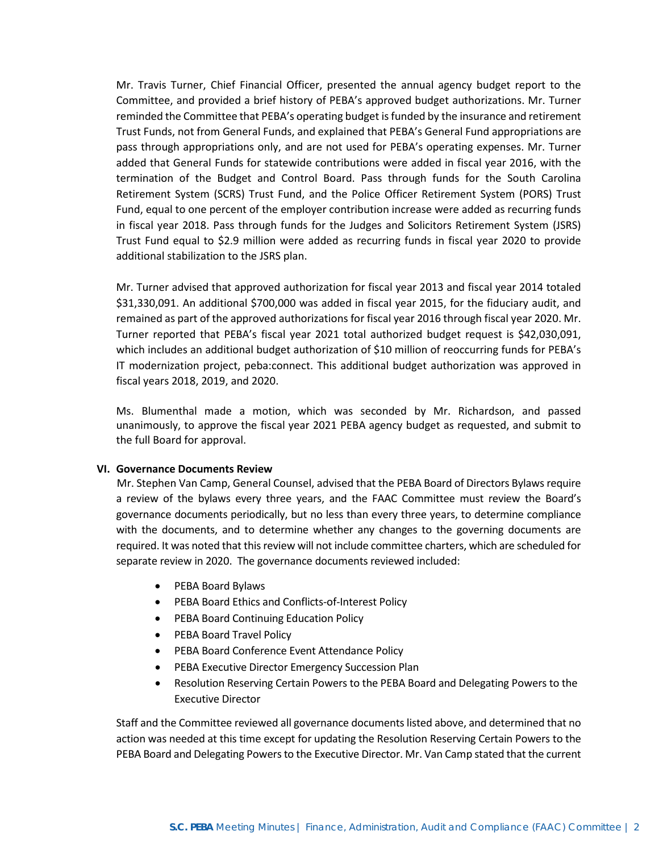Mr. Travis Turner, Chief Financial Officer, presented the annual agency budget report to the Committee, and provided a brief history of PEBA's approved budget authorizations. Mr. Turner reminded the Committee that PEBA's operating budget is funded by the insurance and retirement Trust Funds, not from General Funds, and explained that PEBA's General Fund appropriations are pass through appropriations only, and are not used for PEBA's operating expenses. Mr. Turner added that General Funds for statewide contributions were added in fiscal year 2016, with the termination of the Budget and Control Board. Pass through funds for the South Carolina Retirement System (SCRS) Trust Fund, and the Police Officer Retirement System (PORS) Trust Fund, equal to one percent of the employer contribution increase were added as recurring funds in fiscal year 2018. Pass through funds for the Judges and Solicitors Retirement System (JSRS) Trust Fund equal to \$2.9 million were added as recurring funds in fiscal year 2020 to provide additional stabilization to the JSRS plan.

Mr. Turner advised that approved authorization for fiscal year 2013 and fiscal year 2014 totaled \$31,330,091. An additional \$700,000 was added in fiscal year 2015, for the fiduciary audit, and remained as part of the approved authorizations for fiscal year 2016 through fiscal year 2020. Mr. Turner reported that PEBA's fiscal year 2021 total authorized budget request is \$42,030,091, which includes an additional budget authorization of \$10 million of reoccurring funds for PEBA's IT modernization project, peba:connect. This additional budget authorization was approved in fiscal years 2018, 2019, and 2020.

Ms. Blumenthal made a motion, which was seconded by Mr. Richardson, and passed unanimously, to approve the fiscal year 2021 PEBA agency budget as requested, and submit to the full Board for approval.

## **VI. Governance Documents Review**

 Mr. Stephen Van Camp, General Counsel, advised that the PEBA Board of Directors Bylaws require a review of the bylaws every three years, and the FAAC Committee must review the Board's governance documents periodically, but no less than every three years, to determine compliance with the documents, and to determine whether any changes to the governing documents are required. It was noted that this review will not include committee charters, which are scheduled for separate review in 2020. The governance documents reviewed included:

- PEBA Board Bylaws
- PEBA Board Ethics and Conflicts-of-Interest Policy
- PEBA Board Continuing Education Policy
- PEBA Board Travel Policy
- PEBA Board Conference Event Attendance Policy
- PEBA Executive Director Emergency Succession Plan
- Resolution Reserving Certain Powers to the PEBA Board and Delegating Powers to the Executive Director

Staff and the Committee reviewed all governance documents listed above, and determined that no action was needed at this time except for updating the Resolution Reserving Certain Powers to the PEBA Board and Delegating Powers to the Executive Director. Mr. Van Camp stated that the current